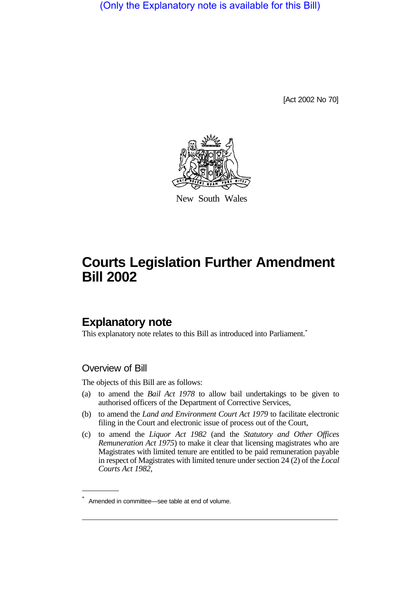(Only the Explanatory note is available for this Bill)

[Act 2002 No 70]



New South Wales

# **Courts Legislation Further Amendment Bill 2002**

## **Explanatory note**

This explanatory note relates to this Bill as introduced into Parliament.<sup>\*</sup>

#### Overview of Bill

The objects of this Bill are as follows:

- (a) to amend the *Bail Act 1978* to allow bail undertakings to be given to authorised officers of the Department of Corrective Services,
- (b) to amend the *Land and Environment Court Act 1979* to facilitate electronic filing in the Court and electronic issue of process out of the Court,
- (c) to amend the *Liquor Act 1982* (and the *Statutory and Other Offices Remuneration Act 1975*) to make it clear that licensing magistrates who are Magistrates with limited tenure are entitled to be paid remuneration payable in respect of Magistrates with limited tenure under section 24 (2) of the *Local Courts Act 1982*,

Amended in committee—see table at end of volume.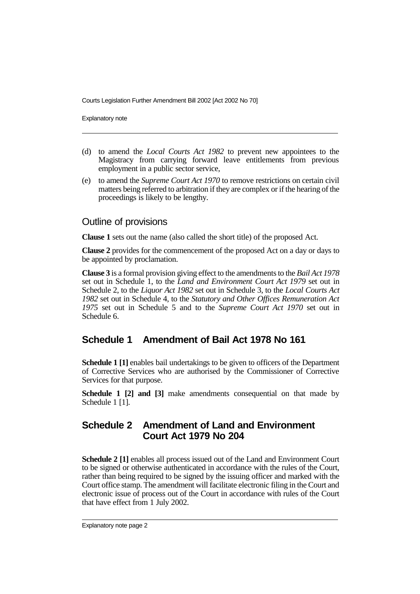Courts Legislation Further Amendment Bill 2002 [Act 2002 No 70]

Explanatory note

- (d) to amend the *Local Courts Act 1982* to prevent new appointees to the Magistracy from carrying forward leave entitlements from previous employment in a public sector service,
- (e) to amend the *Supreme Court Act 1970* to remove restrictions on certain civil matters being referred to arbitration if they are complex or if the hearing of the proceedings is likely to be lengthy.

#### Outline of provisions

**Clause 1** sets out the name (also called the short title) of the proposed Act.

**Clause 2** provides for the commencement of the proposed Act on a day or days to be appointed by proclamation.

**Clause 3** is a formal provision giving effect to the amendments to the *Bail Act 1978* set out in Schedule 1, to the *Land and Environment Court Act 1979* set out in Schedule 2, to the *Liquor Act 1982* set out in Schedule 3, to the *Local Courts Act 1982* set out in Schedule 4, to the *Statutory and Other Offices Remuneration Act 1975* set out in Schedule 5 and to the *Supreme Court Act 1970* set out in Schedule 6.

### **Schedule 1 Amendment of Bail Act 1978 No 161**

**Schedule 1 [1]** enables bail undertakings to be given to officers of the Department of Corrective Services who are authorised by the Commissioner of Corrective Services for that purpose.

**Schedule 1 [2] and [3]** make amendments consequential on that made by Schedule 1 [1].

#### **Schedule 2 Amendment of Land and Environment Court Act 1979 No 204**

**Schedule 2 [1]** enables all process issued out of the Land and Environment Court to be signed or otherwise authenticated in accordance with the rules of the Court, rather than being required to be signed by the issuing officer and marked with the Court office stamp. The amendment will facilitate electronic filing in the Court and electronic issue of process out of the Court in accordance with rules of the Court that have effect from 1 July 2002.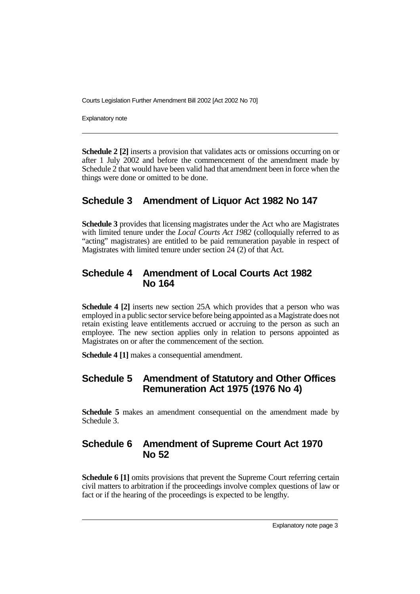Courts Legislation Further Amendment Bill 2002 [Act 2002 No 70]

Explanatory note

**Schedule 2 [2]** inserts a provision that validates acts or omissions occurring on or after 1 July 2002 and before the commencement of the amendment made by Schedule 2 that would have been valid had that amendment been in force when the things were done or omitted to be done.

#### **Schedule 3 Amendment of Liquor Act 1982 No 147**

**Schedule 3** provides that licensing magistrates under the Act who are Magistrates with limited tenure under the *Local Courts Act 1982* (colloquially referred to as "acting" magistrates) are entitled to be paid remuneration payable in respect of Magistrates with limited tenure under section 24 (2) of that Act.

#### **Schedule 4 Amendment of Local Courts Act 1982 No 164**

**Schedule 4 [2]** inserts new section 25A which provides that a person who was employed in a public sector service before being appointed as a Magistrate does not retain existing leave entitlements accrued or accruing to the person as such an employee. The new section applies only in relation to persons appointed as Magistrates on or after the commencement of the section.

**Schedule 4 [1]** makes a consequential amendment.

#### **Schedule 5 Amendment of Statutory and Other Offices Remuneration Act 1975 (1976 No 4)**

**Schedule 5** makes an amendment consequential on the amendment made by Schedule 3.

#### **Schedule 6 Amendment of Supreme Court Act 1970 No 52**

**Schedule 6 [1]** omits provisions that prevent the Supreme Court referring certain civil matters to arbitration if the proceedings involve complex questions of law or fact or if the hearing of the proceedings is expected to be lengthy.